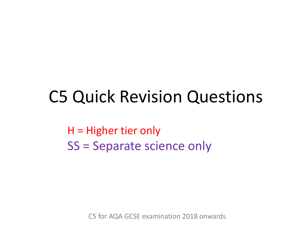### C5 Quick Revision Questions

H = Higher tier only SS = Separate science only

C5 for AQA GCSE examination 2018 onwards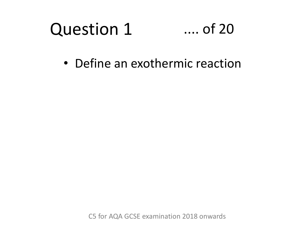#### Question 1 .... of 20

• Define an exothermic reaction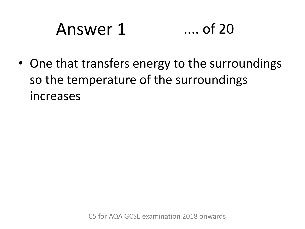# Answer 1 .... of 20

• One that transfers energy to the surroundings so the temperature of the surroundings increases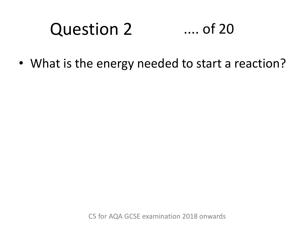#### Question 2 .... of 20

• What is the energy needed to start a reaction?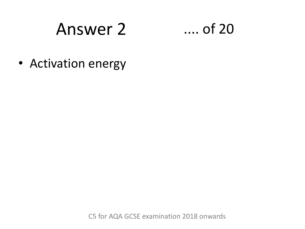### Answer 2 .... of 20



• Activation energy

C5 for AQA GCSE examination 2018 onwards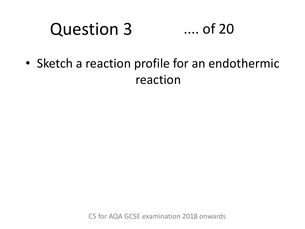#### Question 3 .... of 20

• Sketch a reaction profile for an endothermic reaction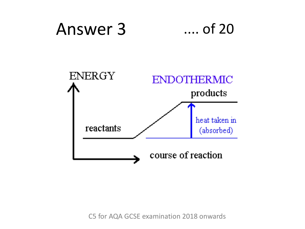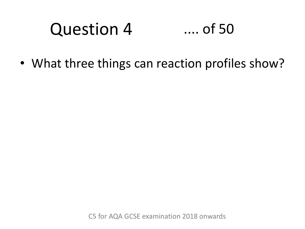#### Question 4 .... of 50

• What three things can reaction profiles show?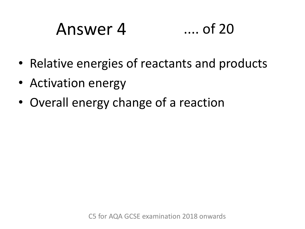## Answer 4 .... of 20

- Relative energies of reactants and products
- Activation energy
- Overall energy change of a reaction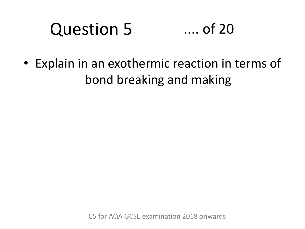#### Question 5 .... of 20

• Explain in an exothermic reaction in terms of bond breaking and making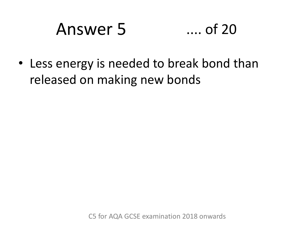# Answer 5 .... of 20

• Less energy is needed to break bond than released on making new bonds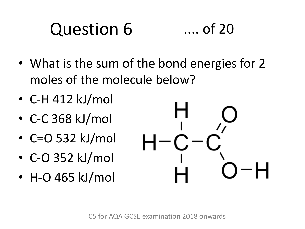### Question 6 .... of 20

- What is the sum of the bond energies for 2 moles of the molecule below?
- C-H 412 kJ/mol
- C-C 368 kJ/mol
- C=O 532 kJ/mol
- C-O 352 kJ/mol
- H-O 465 kJ/mol

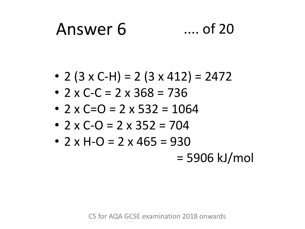# Answer 6 .... of 20

- 2 (3 x C-H) = 2 (3 x 412) = 2472
- 2 x C-C = 2 x 368 = 736
- 2 x C=O = 2 x 532 = 1064
- 2 x C-O = 2 x 352 = 704
- $2 \times H O = 2 \times 465 = 930$

= 5906 kJ/mol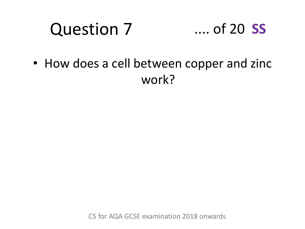#### Question 7 .... of 20 **SS**

• How does a cell between copper and zinc work?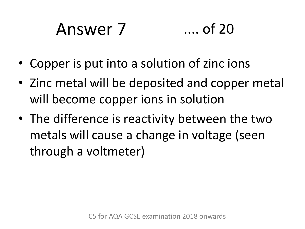# Answer 7 .... of 20

- Copper is put into a solution of zinc ions
- Zinc metal will be deposited and copper metal will become copper ions in solution
- The difference is reactivity between the two metals will cause a change in voltage (seen through a voltmeter)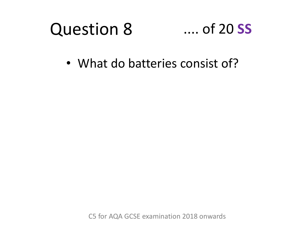#### Question 8 .... of 20 **SS**

• What do batteries consist of?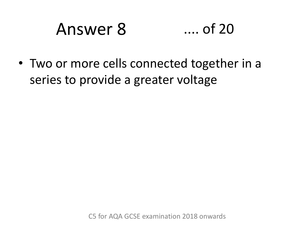### Answer 8 .... of 20

• Two or more cells connected together in a series to provide a greater voltage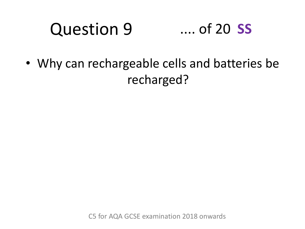#### Question 9 .... of 20 **SS**

• Why can rechargeable cells and batteries be recharged?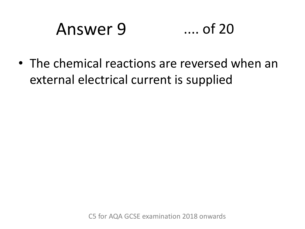# Answer 9 .... of 20

• The chemical reactions are reversed when an external electrical current is supplied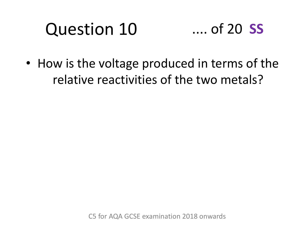# Question 10

### .... of 20 **SS**

• How is the voltage produced in terms of the relative reactivities of the two metals?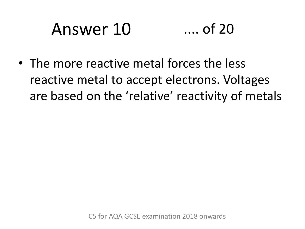# Answer 10 .... of 20

• The more reactive metal forces the less reactive metal to accept electrons. Voltages are based on the 'relative' reactivity of metals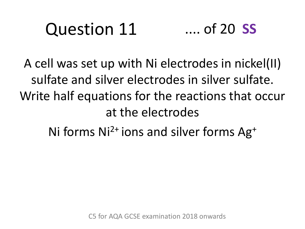#### Question 11 .... of 20 **SS**

A cell was set up with Ni electrodes in nickel(II) sulfate and silver electrodes in silver sulfate. Write half equations for the reactions that occur at the electrodes

Ni forms  $Ni<sup>2+</sup> ions$  and silver forms  $Ag<sup>+</sup>$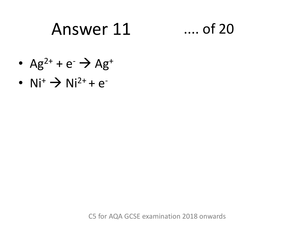### Answer 11 .... of 20

- $Ag^{2+} + e^{-} \rightarrow Ag^{+}$
- $Ni^+ \rightarrow Ni^{2+} + e^-$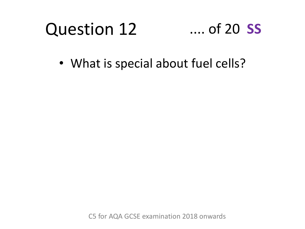### Question 12 .... of 20 **SS**

• What is special about fuel cells?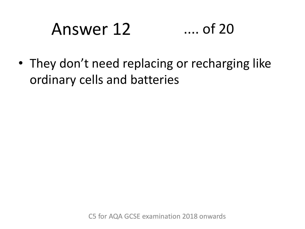# Answer 12 .... of 20

• They don't need replacing or recharging like ordinary cells and batteries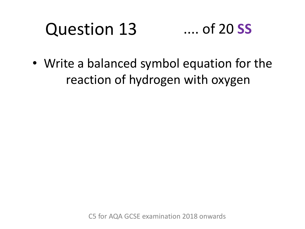### Question 13 .... of 20 **SS**

• Write a balanced symbol equation for the reaction of hydrogen with oxygen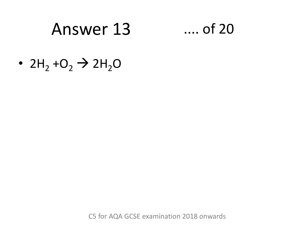### Answer 13 .... of 20

•  $2H_2 + O_2 \rightarrow 2H_2O$ 

C5 for AQA GCSE examination 2018 onwards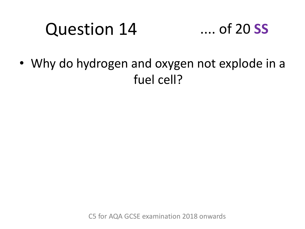# Question 14



• Why do hydrogen and oxygen not explode in a fuel cell?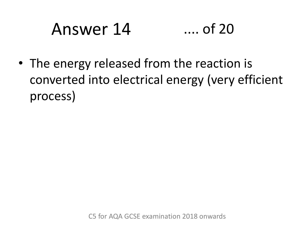# Answer 14 .... of 20

• The energy released from the reaction is converted into electrical energy (very efficient process)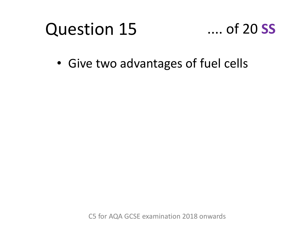# Question 15



• Give two advantages of fuel cells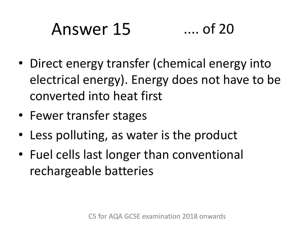# Answer 15 .... of 20

- Direct energy transfer (chemical energy into electrical energy). Energy does not have to be converted into heat first
- Fewer transfer stages
- Less polluting, as water is the product
- Fuel cells last longer than conventional rechargeable batteries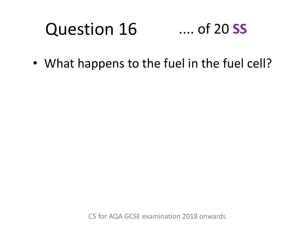### Question 16 .... of 20 **SS**

• What happens to the fuel in the fuel cell?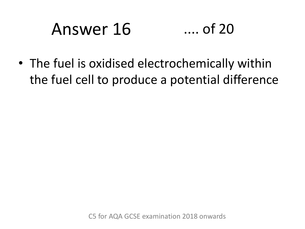# Answer 16 .... of 20

• The fuel is oxidised electrochemically within the fuel cell to produce a potential difference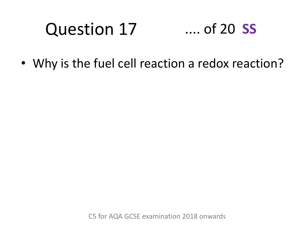### Question 17 .... of 20 **SS**

• Why is the fuel cell reaction a redox reaction?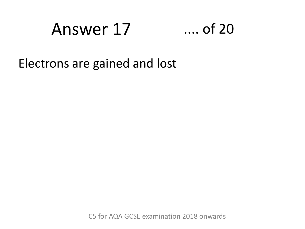### Answer 17 .... of 20



Electrons are gained and lost

C5 for AQA GCSE examination 2018 onwards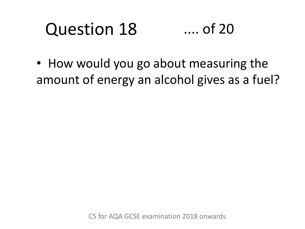### Question 18 .... of 20

• How would you go about measuring the amount of energy an alcohol gives as a fuel?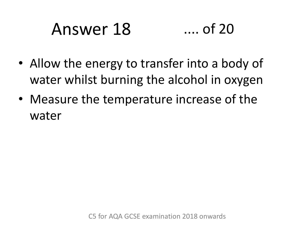# Answer 18 .... of 20

- Allow the energy to transfer into a body of water whilst burning the alcohol in oxygen
- Measure the temperature increase of the water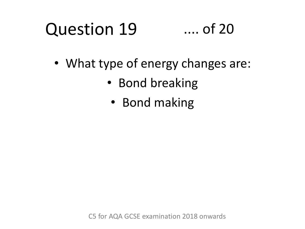### Question 19 .... of 20

- What type of energy changes are:
	- Bond breaking
		- Bond making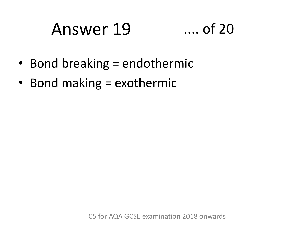### Answer 19 .... of 20



- Bond breaking = endothermic
- Bond making = exothermic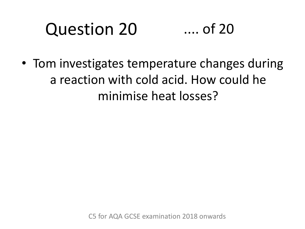### Question 20 .... of 20

• Tom investigates temperature changes during a reaction with cold acid. How could he minimise heat losses?